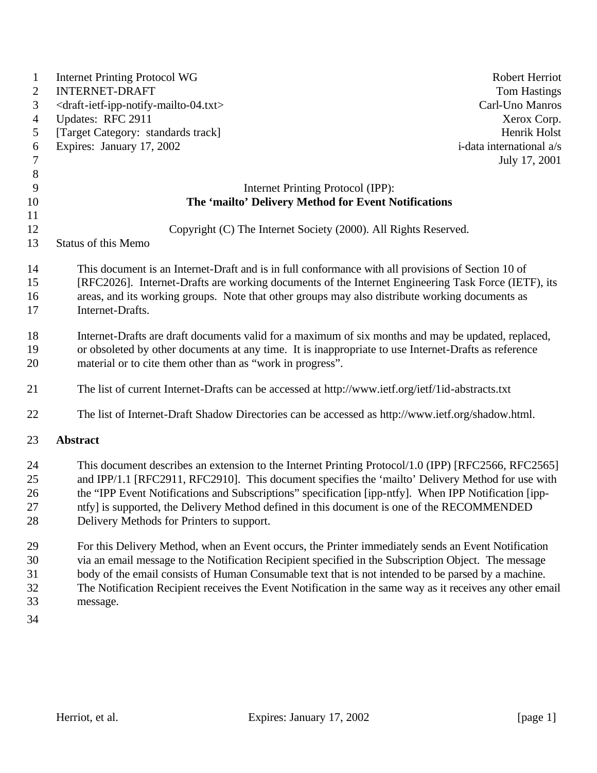| $\mathbf{1}$   | <b>Internet Printing Protocol WG</b>                                                                      | <b>Robert Herriot</b>    |  |
|----------------|-----------------------------------------------------------------------------------------------------------|--------------------------|--|
| 2              | <b>INTERNET-DRAFT</b>                                                                                     | <b>Tom Hastings</b>      |  |
| 3              | <draft-ietf-ipp-notify-mailto-04.txt></draft-ietf-ipp-notify-mailto-04.txt>                               | Carl-Uno Manros          |  |
| $\overline{4}$ | Updates: RFC 2911                                                                                         | Xerox Corp.              |  |
| 5              | [Target Category: standards track]                                                                        | Henrik Holst             |  |
| 6              | Expires: January 17, 2002                                                                                 | i-data international a/s |  |
| $\overline{7}$ |                                                                                                           | July 17, 2001            |  |
| $8\,$          |                                                                                                           |                          |  |
| 9              | Internet Printing Protocol (IPP):                                                                         |                          |  |
| 10             | The 'mailto' Delivery Method for Event Notifications                                                      |                          |  |
| 11             |                                                                                                           |                          |  |
| 12             | Copyright (C) The Internet Society (2000). All Rights Reserved.                                           |                          |  |
| 13             | <b>Status of this Memo</b>                                                                                |                          |  |
| 14             | This document is an Internet-Draft and is in full conformance with all provisions of Section 10 of        |                          |  |
| 15             | [RFC2026]. Internet-Drafts are working documents of the Internet Engineering Task Force (IETF), its       |                          |  |
| 16             | areas, and its working groups. Note that other groups may also distribute working documents as            |                          |  |
| 17             | Internet-Drafts.                                                                                          |                          |  |
| 18             | Internet-Drafts are draft documents valid for a maximum of six months and may be updated, replaced,       |                          |  |
| 19             | or obsoleted by other documents at any time. It is inappropriate to use Internet-Drafts as reference      |                          |  |
| 20             | material or to cite them other than as "work in progress".                                                |                          |  |
|                |                                                                                                           |                          |  |
| 21             | The list of current Internet-Drafts can be accessed at http://www.ietf.org/ietf/1id-abstracts.txt         |                          |  |
| 22             | The list of Internet-Draft Shadow Directories can be accessed as http://www.ietf.org/shadow.html.         |                          |  |
| 23             | <b>Abstract</b>                                                                                           |                          |  |
| 24             | This document describes an extension to the Internet Printing Protocol/1.0 (IPP) [RFC2566, RFC2565]       |                          |  |
| 25             | and IPP/1.1 [RFC2911, RFC2910]. This document specifies the 'mailto' Delivery Method for use with         |                          |  |
| 26             | the "IPP Event Notifications and Subscriptions" specification [ipp-ntfy]. When IPP Notification [ipp-     |                          |  |
| 27             | ntfy] is supported, the Delivery Method defined in this document is one of the RECOMMENDED                |                          |  |
| 28             | Delivery Methods for Printers to support.                                                                 |                          |  |
| 29             | For this Delivery Method, when an Event occurs, the Printer immediately sends an Event Notification       |                          |  |
| 30             | via an email message to the Notification Recipient specified in the Subscription Object. The message      |                          |  |
| 31             | body of the email consists of Human Consumable text that is not intended to be parsed by a machine.       |                          |  |
| 32             | The Notification Recipient receives the Event Notification in the same way as it receives any other email |                          |  |
| 33             | message.                                                                                                  |                          |  |
| 34             |                                                                                                           |                          |  |
|                |                                                                                                           |                          |  |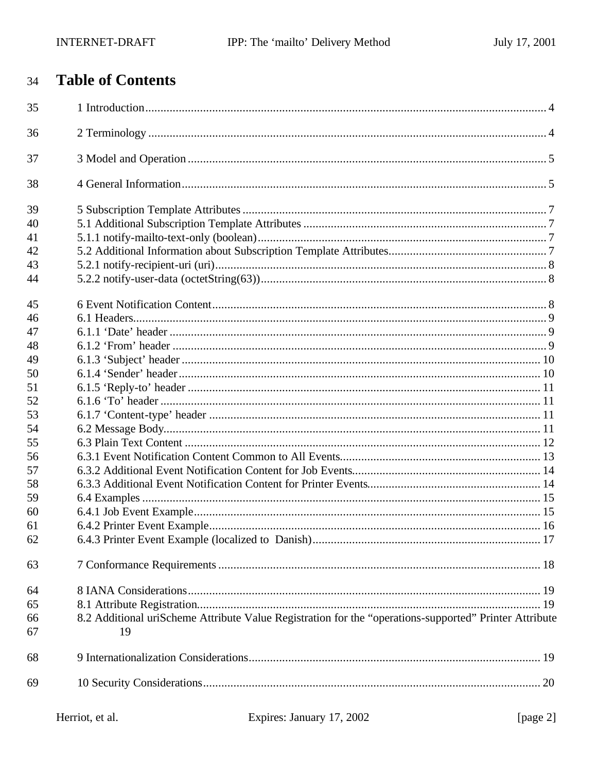### **Table of Contents**  $34$

| 35 |                                                                                                        |  |
|----|--------------------------------------------------------------------------------------------------------|--|
| 36 |                                                                                                        |  |
| 37 |                                                                                                        |  |
| 38 |                                                                                                        |  |
| 39 |                                                                                                        |  |
| 40 |                                                                                                        |  |
| 41 |                                                                                                        |  |
| 42 |                                                                                                        |  |
| 43 |                                                                                                        |  |
| 44 |                                                                                                        |  |
| 45 |                                                                                                        |  |
| 46 |                                                                                                        |  |
| 47 |                                                                                                        |  |
| 48 |                                                                                                        |  |
| 49 |                                                                                                        |  |
| 50 |                                                                                                        |  |
| 51 |                                                                                                        |  |
| 52 |                                                                                                        |  |
| 53 |                                                                                                        |  |
| 54 |                                                                                                        |  |
| 55 |                                                                                                        |  |
| 56 |                                                                                                        |  |
| 57 |                                                                                                        |  |
| 58 |                                                                                                        |  |
| 59 |                                                                                                        |  |
| 60 |                                                                                                        |  |
| 61 |                                                                                                        |  |
| 62 |                                                                                                        |  |
| 63 |                                                                                                        |  |
| 64 |                                                                                                        |  |
| 65 |                                                                                                        |  |
| 66 | 8.2 Additional uriScheme Attribute Value Registration for the "operations-supported" Printer Attribute |  |
| 67 | 19                                                                                                     |  |
| 68 |                                                                                                        |  |
| 69 |                                                                                                        |  |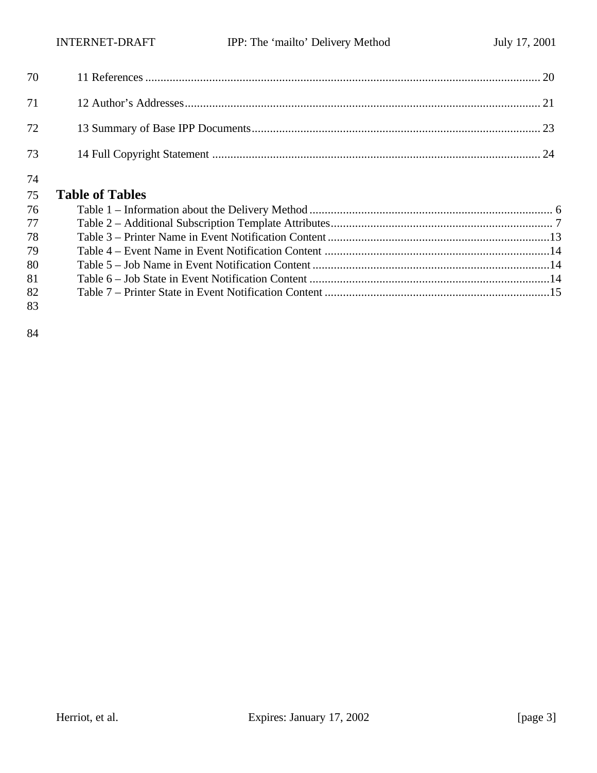| 72 — 200 |  |
|----------|--|
| 73       |  |
| 74       |  |

# **Table of Tables**

|    | 76 — 17 |  |
|----|---------|--|
| 77 |         |  |
| 78 |         |  |
| 79 |         |  |
| 80 |         |  |
| 81 |         |  |
| 82 |         |  |
| 83 |         |  |
|    |         |  |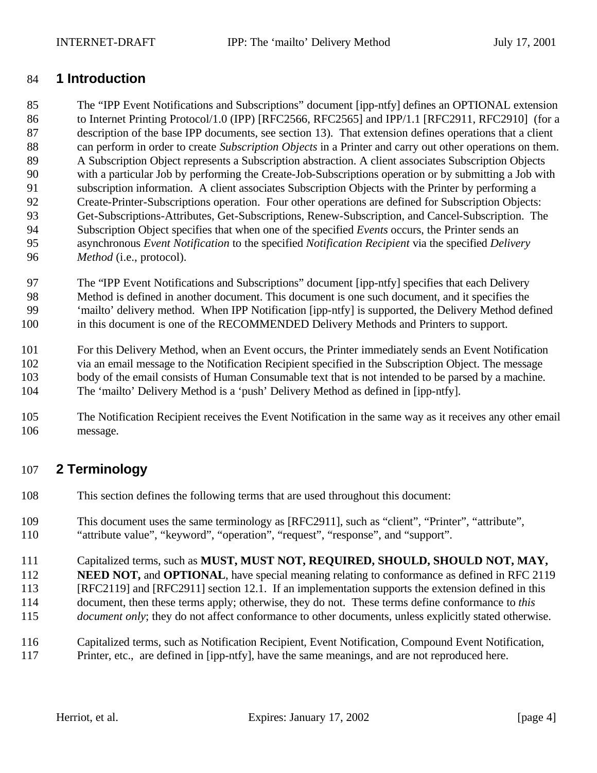# **1 Introduction**

 The "IPP Event Notifications and Subscriptions" document [ipp-ntfy] defines an OPTIONAL extension 86 to Internet Printing Protocol/1.0 (IPP) [RFC2566, RFC2565] and IPP/1.1 [RFC2911, RFC2910] (for a description of the base IPP documents, see section 13). That extension defines operations that a client can perform in order to create *Subscription Objects* in a Printer and carry out other operations on them. A Subscription Object represents a Subscription abstraction. A client associates Subscription Objects with a particular Job by performing the Create-Job-Subscriptions operation or by submitting a Job with subscription information. A client associates Subscription Objects with the Printer by performing a Create-Printer-Subscriptions operation. Four other operations are defined for Subscription Objects: Get-Subscriptions-Attributes, Get-Subscriptions, Renew-Subscription, and Cancel-Subscription. The Subscription Object specifies that when one of the specified *Events* occurs, the Printer sends an asynchronous *Event Notification* to the specified *Notification Recipient* via the specified *Delivery Method* (i.e., protocol).

 The "IPP Event Notifications and Subscriptions" document [ipp-ntfy] specifies that each Delivery Method is defined in another document. This document is one such document, and it specifies the 'mailto' delivery method. When IPP Notification [ipp-ntfy] is supported, the Delivery Method defined in this document is one of the RECOMMENDED Delivery Methods and Printers to support.

 For this Delivery Method, when an Event occurs, the Printer immediately sends an Event Notification via an email message to the Notification Recipient specified in the Subscription Object. The message body of the email consists of Human Consumable text that is not intended to be parsed by a machine. The 'mailto' Delivery Method is a 'push' Delivery Method as defined in [ipp-ntfy].

 The Notification Recipient receives the Event Notification in the same way as it receives any other email message.

# **2 Terminology**

- This section defines the following terms that are used throughout this document:
- This document uses the same terminology as [RFC2911], such as "client", "Printer", "attribute", "attribute value", "keyword", "operation", "request", "response", and "support".

Capitalized terms, such as **MUST, MUST NOT, REQUIRED, SHOULD, SHOULD NOT, MAY,** 

- **NEED NOT, and OPTIONAL**, have special meaning relating to conformance as defined in RFC 2119
- [RFC2119] and [RFC2911] section 12.1. If an implementation supports the extension defined in this
- document, then these terms apply; otherwise, they do not. These terms define conformance to *this*
- *document only*; they do not affect conformance to other documents, unless explicitly stated otherwise.
- Capitalized terms, such as Notification Recipient, Event Notification, Compound Event Notification, Printer, etc., are defined in [ipp-ntfy], have the same meanings, and are not reproduced here.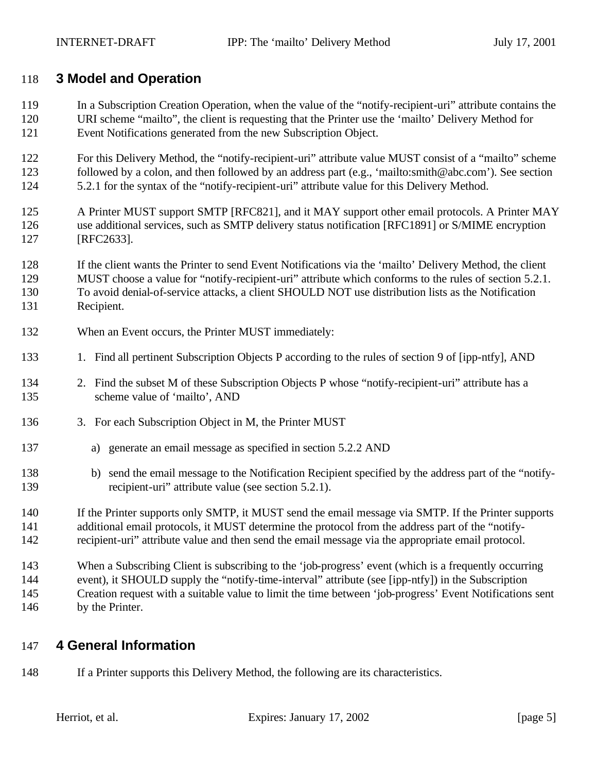# **3 Model and Operation**

- In a Subscription Creation Operation, when the value of the "notify-recipient-uri" attribute contains the URI scheme "mailto", the client is requesting that the Printer use the 'mailto' Delivery Method for Event Notifications generated from the new Subscription Object.
- For this Delivery Method, the "notify-recipient-uri" attribute value MUST consist of a "mailto" scheme followed by a colon, and then followed by an address part (e.g., 'mailto:smith@abc.com'). See section 5.2.1 for the syntax of the "notify-recipient-uri" attribute value for this Delivery Method.
- A Printer MUST support SMTP [RFC821], and it MAY support other email protocols. A Printer MAY use additional services, such as SMTP delivery status notification [RFC1891] or S/MIME encryption [RFC2633].

 If the client wants the Printer to send Event Notifications via the 'mailto' Delivery Method, the client MUST choose a value for "notify-recipient-uri" attribute which conforms to the rules of section 5.2.1. To avoid denial-of-service attacks, a client SHOULD NOT use distribution lists as the Notification Recipient.

- 132 When an Event occurs, the Printer MUST immediately:
- 1. Find all pertinent Subscription Objects P according to the rules of section 9 of [ipp-ntfy], AND
- 2. Find the subset M of these Subscription Objects P whose "notify-recipient-uri" attribute has a scheme value of 'mailto', AND
- 3. For each Subscription Object in M, the Printer MUST
- a) generate an email message as specified in section 5.2.2 AND
- b) send the email message to the Notification Recipient specified by the address part of the "notify-recipient-uri" attribute value (see section 5.2.1).
- If the Printer supports only SMTP, it MUST send the email message via SMTP. If the Printer supports additional email protocols, it MUST determine the protocol from the address part of the "notify-recipient-uri" attribute value and then send the email message via the appropriate email protocol.
- When a Subscribing Client is subscribing to the 'job-progress' event (which is a frequently occurring event), it SHOULD supply the "notify-time-interval" attribute (see [ipp-ntfy]) in the Subscription Creation request with a suitable value to limit the time between 'job-progress' Event Notifications sent by the Printer.

# **4 General Information**

If a Printer supports this Delivery Method, the following are its characteristics.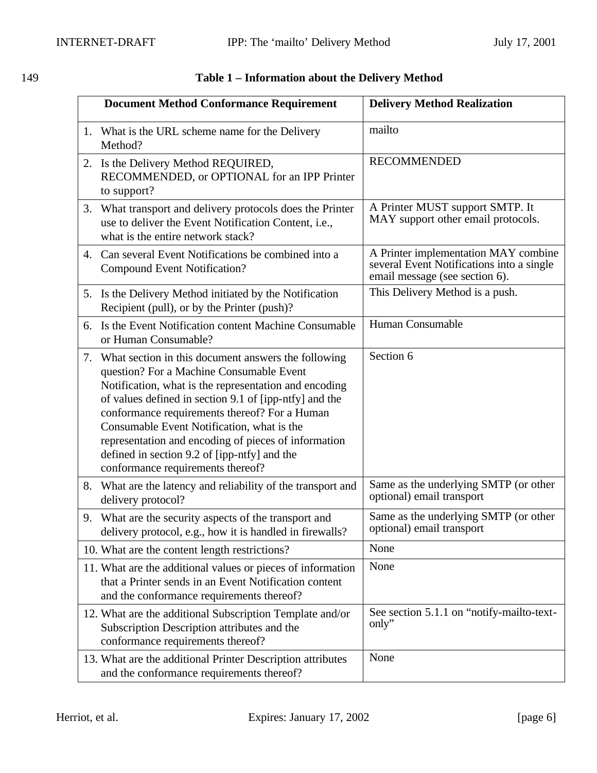|    | <b>Document Method Conformance Requirement</b>                                                                                                                                                                                                                                                                                                                                                                                                                 | <b>Delivery Method Realization</b>                                                                                  |
|----|----------------------------------------------------------------------------------------------------------------------------------------------------------------------------------------------------------------------------------------------------------------------------------------------------------------------------------------------------------------------------------------------------------------------------------------------------------------|---------------------------------------------------------------------------------------------------------------------|
|    | 1. What is the URL scheme name for the Delivery<br>Method?                                                                                                                                                                                                                                                                                                                                                                                                     | mailto                                                                                                              |
| 2. | Is the Delivery Method REQUIRED,<br>RECOMMENDED, or OPTIONAL for an IPP Printer<br>to support?                                                                                                                                                                                                                                                                                                                                                                 | <b>RECOMMENDED</b>                                                                                                  |
|    | 3. What transport and delivery protocols does the Printer<br>use to deliver the Event Notification Content, i.e.,<br>what is the entire network stack?                                                                                                                                                                                                                                                                                                         | A Printer MUST support SMTP. It<br>MAY support other email protocols.                                               |
| 4. | Can several Event Notifications be combined into a<br><b>Compound Event Notification?</b>                                                                                                                                                                                                                                                                                                                                                                      | A Printer implementation MAY combine<br>several Event Notifications into a single<br>email message (see section 6). |
|    | 5. Is the Delivery Method initiated by the Notification<br>Recipient (pull), or by the Printer (push)?                                                                                                                                                                                                                                                                                                                                                         | This Delivery Method is a push.                                                                                     |
| 6. | Is the Event Notification content Machine Consumable<br>or Human Consumable?                                                                                                                                                                                                                                                                                                                                                                                   | Human Consumable                                                                                                    |
| 7. | What section in this document answers the following<br>question? For a Machine Consumable Event<br>Notification, what is the representation and encoding<br>of values defined in section 9.1 of [ipp-ntfy] and the<br>conformance requirements thereof? For a Human<br>Consumable Event Notification, what is the<br>representation and encoding of pieces of information<br>defined in section 9.2 of [ipp-ntfy] and the<br>conformance requirements thereof? | Section 6                                                                                                           |
| 8. | What are the latency and reliability of the transport and<br>delivery protocol?                                                                                                                                                                                                                                                                                                                                                                                | Same as the underlying SMTP (or other<br>optional) email transport                                                  |
| 9. | What are the security aspects of the transport and<br>delivery protocol, e.g., how it is handled in firewalls?                                                                                                                                                                                                                                                                                                                                                 | Same as the underlying SMTP (or other<br>optional) email transport                                                  |
|    | 10. What are the content length restrictions?                                                                                                                                                                                                                                                                                                                                                                                                                  | None                                                                                                                |
|    | 11. What are the additional values or pieces of information<br>that a Printer sends in an Event Notification content<br>and the conformance requirements thereof?                                                                                                                                                                                                                                                                                              | None                                                                                                                |
|    | 12. What are the additional Subscription Template and/or<br>Subscription Description attributes and the<br>conformance requirements thereof?                                                                                                                                                                                                                                                                                                                   | See section 5.1.1 on "notify-mailto-text-<br>only"                                                                  |
|    | 13. What are the additional Printer Description attributes<br>and the conformance requirements thereof?                                                                                                                                                                                                                                                                                                                                                        | None                                                                                                                |

# 149 **Table 1 – Information about the Delivery Method**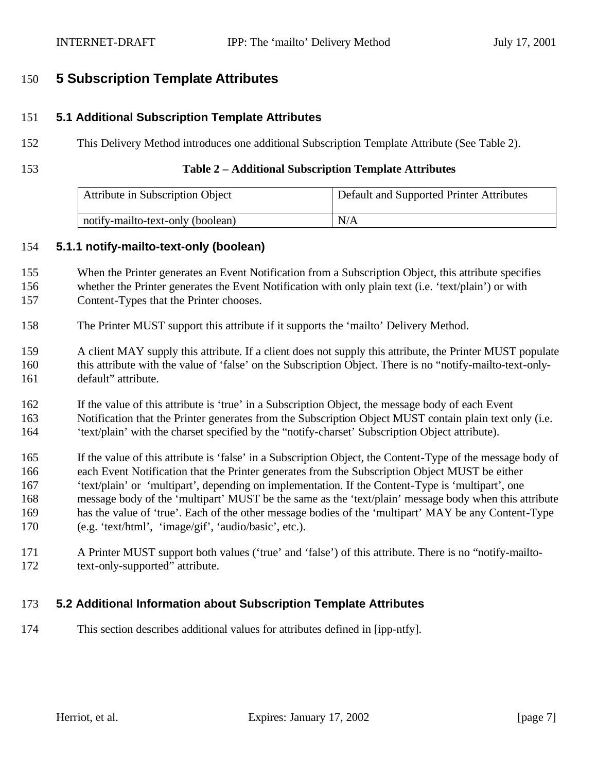# **5 Subscription Template Attributes**

### **5.1 Additional Subscription Template Attributes**

- This Delivery Method introduces one additional Subscription Template Attribute (See Table 2).
- 

### **Table 2 – Additional Subscription Template Attributes**

| Attribute in Subscription Object  | Default and Supported Printer Attributes |
|-----------------------------------|------------------------------------------|
| notify-mailto-text-only (boolean) | N/A                                      |

### **5.1.1 notify-mailto-text-only (boolean)**

- When the Printer generates an Event Notification from a Subscription Object, this attribute specifies whether the Printer generates the Event Notification with only plain text (i.e. 'text/plain') or with
- Content-Types that the Printer chooses.
- The Printer MUST support this attribute if it supports the 'mailto' Delivery Method.

 A client MAY supply this attribute. If a client does not supply this attribute, the Printer MUST populate this attribute with the value of 'false' on the Subscription Object. There is no "notify-mailto-text-only-default" attribute.

- If the value of this attribute is 'true' in a Subscription Object, the message body of each Event 163 Notification that the Printer generates from the Subscription Object MUST contain plain text only (i.e. 'text/plain' with the charset specified by the "notify-charset' Subscription Object attribute).
- If the value of this attribute is 'false' in a Subscription Object, the Content-Type of the message body of each Event Notification that the Printer generates from the Subscription Object MUST be either 'text/plain' or 'multipart', depending on implementation. If the Content-Type is 'multipart', one message body of the 'multipart' MUST be the same as the 'text/plain' message body when this attribute has the value of 'true'. Each of the other message bodies of the 'multipart' MAY be any Content-Type (e.g. 'text/html', 'image/gif', 'audio/basic', etc.).
- A Printer MUST support both values ('true' and 'false') of this attribute. There is no "notify-mailto-text-only-supported" attribute.

### **5.2 Additional Information about Subscription Template Attributes**

This section describes additional values for attributes defined in [ipp-ntfy].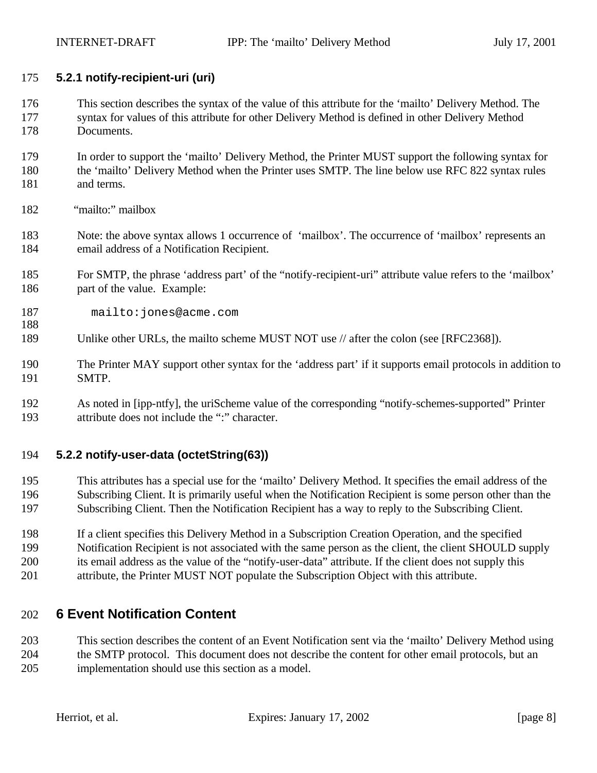### **5.2.1 notify-recipient-uri (uri)**

- This section describes the syntax of the value of this attribute for the 'mailto' Delivery Method. The syntax for values of this attribute for other Delivery Method is defined in other Delivery Method Documents.
- In order to support the 'mailto' Delivery Method, the Printer MUST support the following syntax for the 'mailto' Delivery Method when the Printer uses SMTP. The line below use RFC 822 syntax rules and terms.
- "mailto:" mailbox

- Note: the above syntax allows 1 occurrence of 'mailbox'. The occurrence of 'mailbox' represents an email address of a Notification Recipient.
- For SMTP, the phrase 'address part' of the "notify-recipient-uri" attribute value refers to the 'mailbox' 186 part of the value. Example:
- mailto:jones@acme.com
- Unlike other URLs, the mailto scheme MUST NOT use // after the colon (see [RFC2368]).
- The Printer MAY support other syntax for the 'address part' if it supports email protocols in addition to SMTP.
- As noted in [ipp-ntfy], the uriScheme value of the corresponding "notify-schemes-supported" Printer attribute does not include the ":" character.

### **5.2.2 notify-user-data (octetString(63))**

- This attributes has a special use for the 'mailto' Delivery Method. It specifies the email address of the Subscribing Client. It is primarily useful when the Notification Recipient is some person other than the Subscribing Client. Then the Notification Recipient has a way to reply to the Subscribing Client.
- If a client specifies this Delivery Method in a Subscription Creation Operation, and the specified Notification Recipient is not associated with the same person as the client, the client SHOULD supply its email address as the value of the "notify-user-data" attribute. If the client does not supply this attribute, the Printer MUST NOT populate the Subscription Object with this attribute.

# **6 Event Notification Content**

 This section describes the content of an Event Notification sent via the 'mailto' Delivery Method using the SMTP protocol. This document does not describe the content for other email protocols, but an implementation should use this section as a model.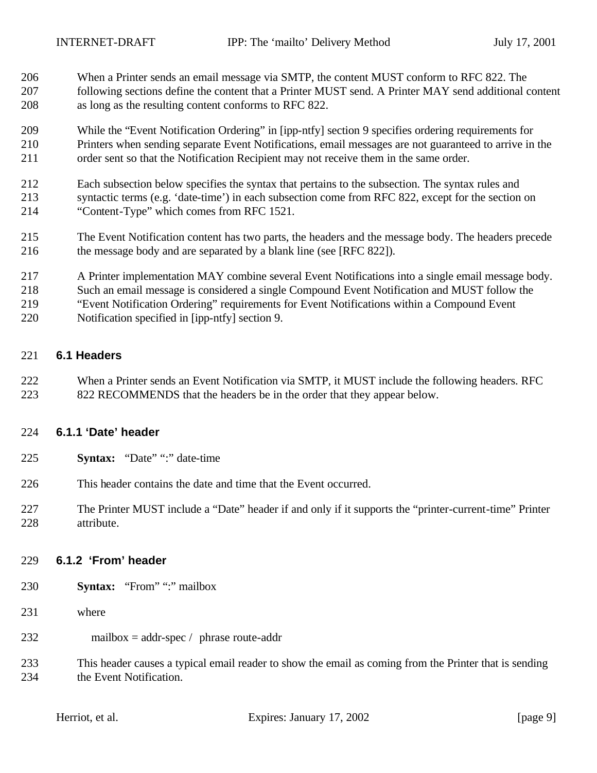- When a Printer sends an email message via SMTP, the content MUST conform to RFC 822. The
- following sections define the content that a Printer MUST send. A Printer MAY send additional content as long as the resulting content conforms to RFC 822.
- While the "Event Notification Ordering" in [ipp-ntfy] section 9 specifies ordering requirements for Printers when sending separate Event Notifications, email messages are not guaranteed to arrive in the order sent so that the Notification Recipient may not receive them in the same order.
- Each subsection below specifies the syntax that pertains to the subsection. The syntax rules and syntactic terms (e.g. 'date-time') in each subsection come from RFC 822, except for the section on "Content-Type" which comes from RFC 1521.
- The Event Notification content has two parts, the headers and the message body. The headers precede the message body and are separated by a blank line (see [RFC 822]).
- A Printer implementation MAY combine several Event Notifications into a single email message body.
- Such an email message is considered a single Compound Event Notification and MUST follow the
- "Event Notification Ordering" requirements for Event Notifications within a Compound Event
- Notification specified in [ipp-ntfy] section 9.

### **6.1 Headers**

 When a Printer sends an Event Notification via SMTP, it MUST include the following headers. RFC 822 RECOMMENDS that the headers be in the order that they appear below.

### **6.1.1 'Date' header**

- **Syntax:** "Date" ":" date-time
- This header contains the date and time that the Event occurred.
- The Printer MUST include a "Date" header if and only if it supports the "printer-current-time" Printer attribute.

### **6.1.2 'From' header**

- **Syntax:** "From" ":" mailbox
- where
- mailbox = addr-spec / phrase route-addr
- This header causes a typical email reader to show the email as coming from the Printer that is sending the Event Notification.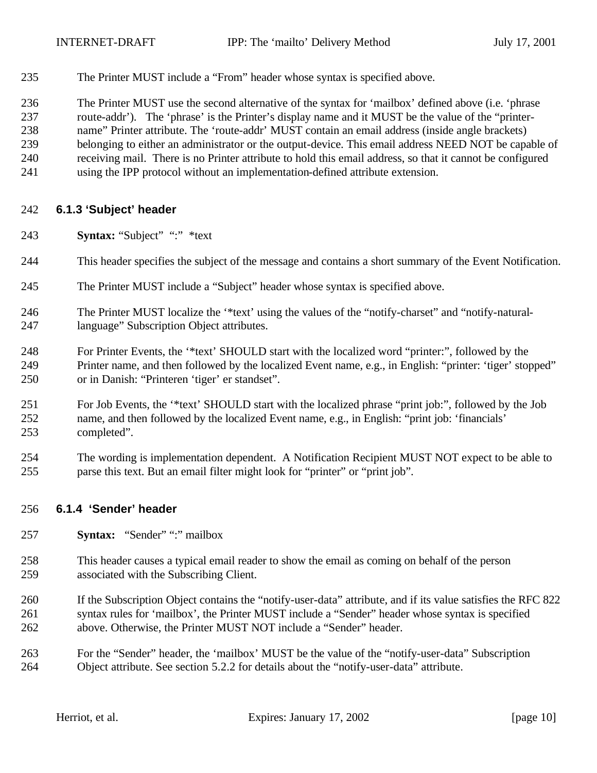The Printer MUST include a "From" header whose syntax is specified above.

 The Printer MUST use the second alternative of the syntax for 'mailbox' defined above (i.e. 'phrase route-addr'). The 'phrase' is the Printer's display name and it MUST be the value of the "printer- name" Printer attribute. The 'route-addr' MUST contain an email address (inside angle brackets) belonging to either an administrator or the output-device. This email address NEED NOT be capable of receiving mail. There is no Printer attribute to hold this email address, so that it cannot be configured using the IPP protocol without an implementation-defined attribute extension.

### **6.1.3 'Subject' header**

- **Syntax:** "Subject" ":" \*text
- This header specifies the subject of the message and contains a short summary of the Event Notification.
- The Printer MUST include a "Subject" header whose syntax is specified above.
- The Printer MUST localize the '\*text' using the values of the "notify-charset" and "notify-natural-language" Subscription Object attributes.
- For Printer Events, the '\*text' SHOULD start with the localized word "printer:", followed by the Printer name, and then followed by the localized Event name, e.g., in English: "printer: 'tiger' stopped" or in Danish: "Printeren 'tiger' er standset".
- For Job Events, the '\*text' SHOULD start with the localized phrase "print job:", followed by the Job name, and then followed by the localized Event name, e.g., in English: "print job: 'financials' completed".
- The wording is implementation dependent. A Notification Recipient MUST NOT expect to be able to parse this text. But an email filter might look for "printer" or "print job".

### **6.1.4 'Sender' header**

- **Syntax:** "Sender" ":" mailbox
- This header causes a typical email reader to show the email as coming on behalf of the person associated with the Subscribing Client.
- If the Subscription Object contains the "notify-user-data" attribute, and if its value satisfies the RFC 822 syntax rules for 'mailbox', the Printer MUST include a "Sender" header whose syntax is specified above. Otherwise, the Printer MUST NOT include a "Sender" header.
- For the "Sender" header, the 'mailbox' MUST be the value of the "notify-user-data" Subscription Object attribute. See section 5.2.2 for details about the "notify-user-data" attribute.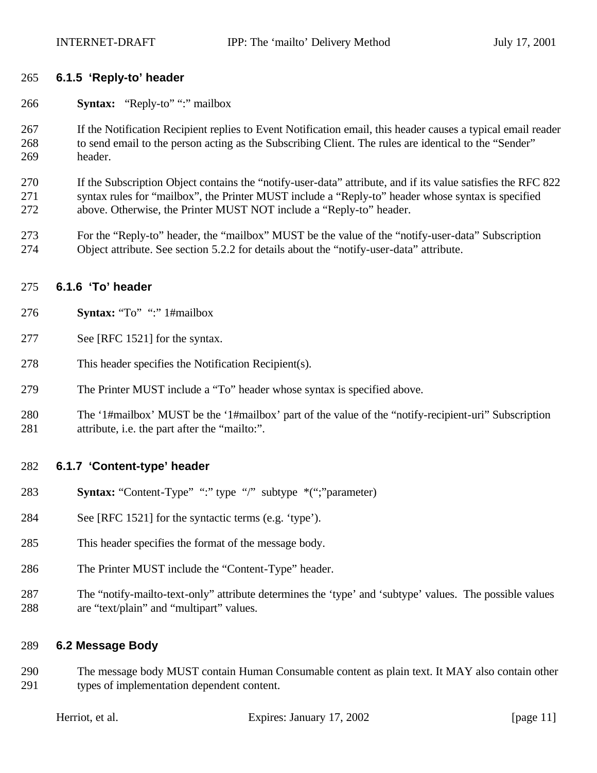### **6.1.5 'Reply-to' header**

- **Syntax:** "Reply-to" ":" mailbox
- If the Notification Recipient replies to Event Notification email, this header causes a typical email reader to send email to the person acting as the Subscribing Client. The rules are identical to the "Sender" header.
- If the Subscription Object contains the "notify-user-data" attribute, and if its value satisfies the RFC 822 syntax rules for "mailbox", the Printer MUST include a "Reply-to" header whose syntax is specified above. Otherwise, the Printer MUST NOT include a "Reply-to" header.
- For the "Reply-to" header, the "mailbox" MUST be the value of the "notify-user-data" Subscription Object attribute. See section 5.2.2 for details about the "notify-user-data" attribute.

### **6.1.6 'To' header**

- **Syntax:** "To" ":" 1#mailbox
- See [RFC 1521] for the syntax.
- This header specifies the Notification Recipient(s).
- The Printer MUST include a "To" header whose syntax is specified above.
- The '1#mailbox' MUST be the '1#mailbox' part of the value of the "notify-recipient-uri" Subscription attribute, i.e. the part after the "mailto:".

### **6.1.7 'Content-type' header**

- **Syntax:** "Content-Type" ":" type "/" subtype \*(";"parameter)
- See [RFC 1521] for the syntactic terms (e.g. 'type').
- This header specifies the format of the message body.
- The Printer MUST include the "Content-Type" header.
- The "notify-mailto-text-only" attribute determines the 'type' and 'subtype' values. The possible values are "text/plain" and "multipart" values.

# **6.2 Message Body**

 The message body MUST contain Human Consumable content as plain text. It MAY also contain other types of implementation dependent content.

Expires: January  $17, 2002$  [page 11]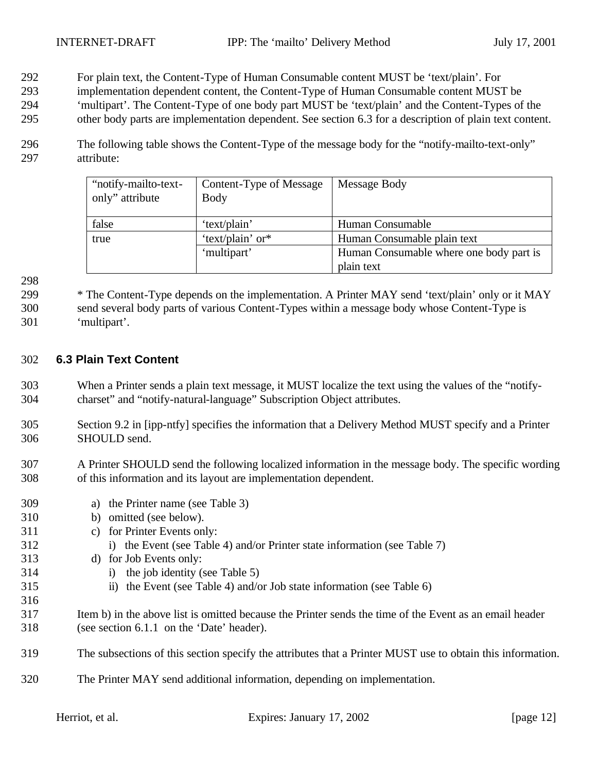- For plain text, the Content-Type of Human Consumable content MUST be 'text/plain'. For
- implementation dependent content, the Content-Type of Human Consumable content MUST be
- 'multipart'. The Content-Type of one body part MUST be 'text/plain' and the Content-Types of the
- other body parts are implementation dependent. See section 6.3 for a description of plain text content.
- The following table shows the Content-Type of the message body for the "notify-mailto-text-only" attribute:

| "notify-mailto-text-<br>only" attribute | Content-Type of Message<br><b>Body</b> | Message Body                            |
|-----------------------------------------|----------------------------------------|-----------------------------------------|
| false                                   | 'text/plain'                           | Human Consumable                        |
| true                                    | 'text/plain' or*                       | Human Consumable plain text             |
|                                         | 'multipart'                            | Human Consumable where one body part is |
|                                         |                                        | plain text                              |

 \* The Content-Type depends on the implementation. A Printer MAY send 'text/plain' only or it MAY send several body parts of various Content-Types within a message body whose Content-Type is 'multipart'.

### **6.3 Plain Text Content**

- When a Printer sends a plain text message, it MUST localize the text using the values of the "notify-charset" and "notify-natural-language" Subscription Object attributes.
- Section 9.2 in [ipp-ntfy] specifies the information that a Delivery Method MUST specify and a Printer SHOULD send.
- A Printer SHOULD send the following localized information in the message body. The specific wording of this information and its layout are implementation dependent.
- a) the Printer name (see Table 3) b) omitted (see below). c) for Printer Events only: i) the Event (see Table 4) and/or Printer state information (see Table 7) d) for Job Events only: i) the job identity (see Table 5) ii) the Event (see Table 4) and/or Job state information (see Table 6) Item b) in the above list is omitted because the Printer sends the time of the Event as an email header (see section 6.1.1 on the 'Date' header). The subsections of this section specify the attributes that a Printer MUST use to obtain this information. The Printer MAY send additional information, depending on implementation.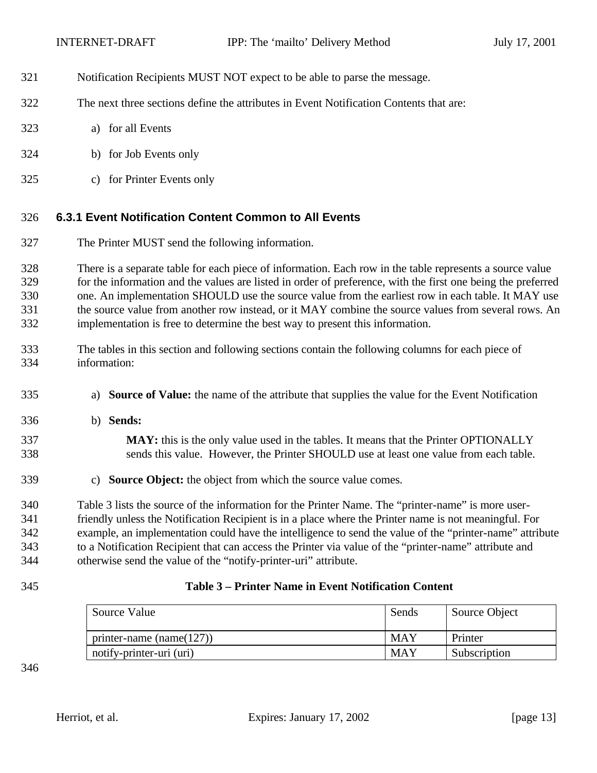- Notification Recipients MUST NOT expect to be able to parse the message.
- The next three sections define the attributes in Event Notification Contents that are:
- a) for all Events
- b) for Job Events only
- c) for Printer Events only

### **6.3.1 Event Notification Content Common to All Events**

The Printer MUST send the following information.

 There is a separate table for each piece of information. Each row in the table represents a source value for the information and the values are listed in order of preference, with the first one being the preferred one. An implementation SHOULD use the source value from the earliest row in each table. It MAY use the source value from another row instead, or it MAY combine the source values from several rows. An implementation is free to determine the best way to present this information.

- The tables in this section and following sections contain the following columns for each piece of information:
- a) **Source of Value:** the name of the attribute that supplies the value for the Event Notification
- b) **Sends:**

 **MAY:** this is the only value used in the tables. It means that the Printer OPTIONALLY sends this value. However, the Printer SHOULD use at least one value from each table.

c) **Source Object:** the object from which the source value comes.

 Table 3 lists the source of the information for the Printer Name. The "printer-name" is more user- friendly unless the Notification Recipient is in a place where the Printer name is not meaningful. For example, an implementation could have the intelligence to send the value of the "printer-name" attribute to a Notification Recipient that can access the Printer via value of the "printer-name" attribute and otherwise send the value of the "notify-printer-uri" attribute.

### **Table 3 – Printer Name in Event Notification Content**

| Source Value                 | Sends      | Source Object |
|------------------------------|------------|---------------|
| printer-name (name( $127$ )) | <b>MAY</b> | Printer       |
| notify-printer-uri (uri)     | <b>MAY</b> | Subscription  |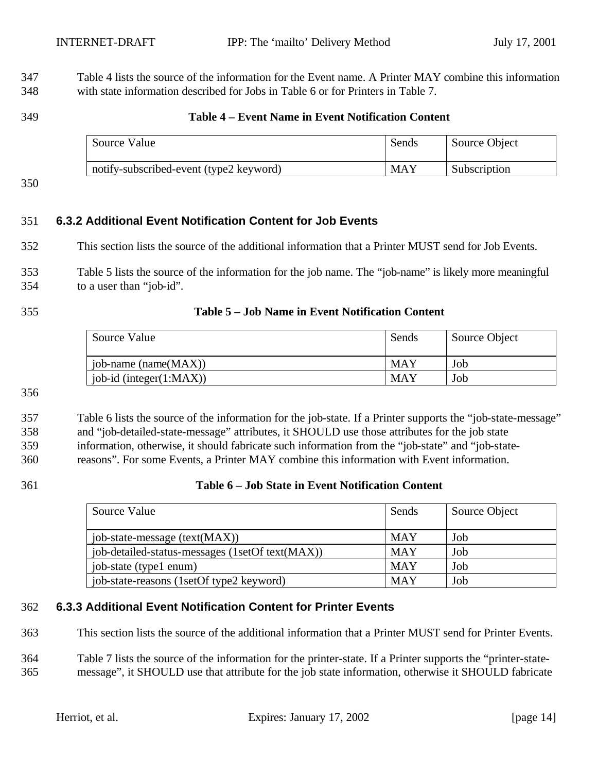Table 4 lists the source of the information for the Event name. A Printer MAY combine this information with state information described for Jobs in Table 6 or for Printers in Table 7.

### **Table 4 – Event Name in Event Notification Content**

| Source Value                            | Sends | Source Object |
|-----------------------------------------|-------|---------------|
| notify-subscribed-event (type2 keyword) | MAY   | Subscription  |

### **6.3.2 Additional Event Notification Content for Job Events**

This section lists the source of the additional information that a Printer MUST send for Job Events.

 Table 5 lists the source of the information for the job name. The "job-name" is likely more meaningful to a user than "job-id".

### **Table 5 – Job Name in Event Notification Content**

| Source Value                | Sends      | Source Object |
|-----------------------------|------------|---------------|
| job-name (name $(MAX)$ )    | <b>MAY</b> | Job           |
| job-id (integer $(1:MAX)$ ) | <b>MAY</b> | Job           |

### Table 6 lists the source of the information for the job-state. If a Printer supports the "job-state-message" and "job-detailed-state-message" attributes, it SHOULD use those attributes for the job state information, otherwise, it should fabricate such information from the "job-state" and "job-state-reasons". For some Events, a Printer MAY combine this information with Event information.

### **Table 6 – Job State in Event Notification Content**

| Source Value                                    | Sends      | Source Object |
|-------------------------------------------------|------------|---------------|
| job-state-message (text(MAX))                   | <b>MAY</b> | Job           |
| job-detailed-status-messages (1setOf text(MAX)) | <b>MAY</b> | Job           |
| job-state (type1 enum)                          | <b>MAY</b> | Job           |
| job-state-reasons (1setOf type2 keyword)        | <b>MAY</b> | Job           |

### **6.3.3 Additional Event Notification Content for Printer Events**

This section lists the source of the additional information that a Printer MUST send for Printer Events.

 Table 7 lists the source of the information for the printer-state. If a Printer supports the "printer-state-message", it SHOULD use that attribute for the job state information, otherwise it SHOULD fabricate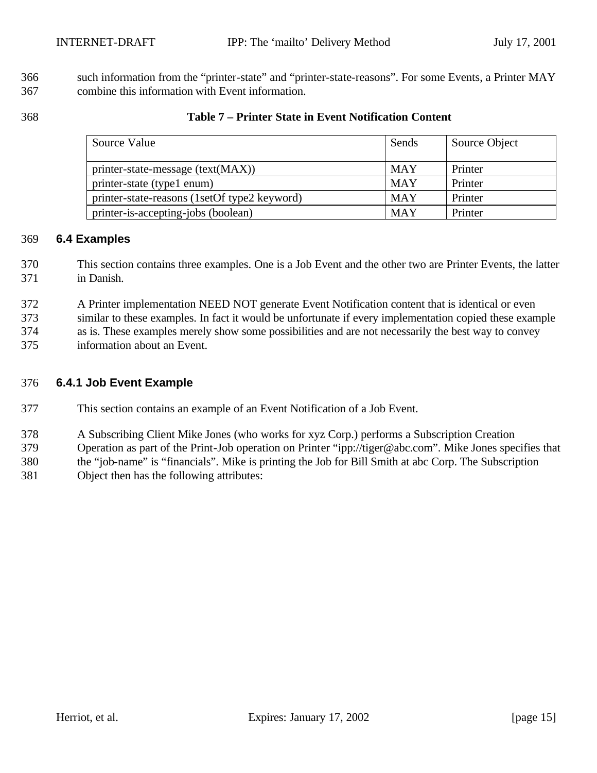366 such information from the "printer-state" and "printer-state-reasons". For some Events, a Printer MAY combine this information with Event information.

### **Table 7 – Printer State in Event Notification Content**

| Source Value                                 | Sends      | Source Object |
|----------------------------------------------|------------|---------------|
| printer-state-message (text(MAX))            | <b>MAY</b> | Printer       |
| printer-state (type1 enum)                   | <b>MAY</b> | Printer       |
| printer-state-reasons (1setOf type2 keyword) | <b>MAY</b> | Printer       |
| printer-is-accepting-jobs (boolean)          | <b>MAY</b> | Printer       |

# **6.4 Examples**

- This section contains three examples. One is a Job Event and the other two are Printer Events, the latter in Danish.
- A Printer implementation NEED NOT generate Event Notification content that is identical or even
- similar to these examples. In fact it would be unfortunate if every implementation copied these example
- as is. These examples merely show some possibilities and are not necessarily the best way to convey
- information about an Event.

### **6.4.1 Job Event Example**

- This section contains an example of an Event Notification of a Job Event.
- A Subscribing Client Mike Jones (who works for xyz Corp.) performs a Subscription Creation
- Operation as part of the Print-Job operation on Printer "ipp://tiger@abc.com". Mike Jones specifies that
- the "job-name" is "financials". Mike is printing the Job for Bill Smith at abc Corp. The Subscription
- Object then has the following attributes: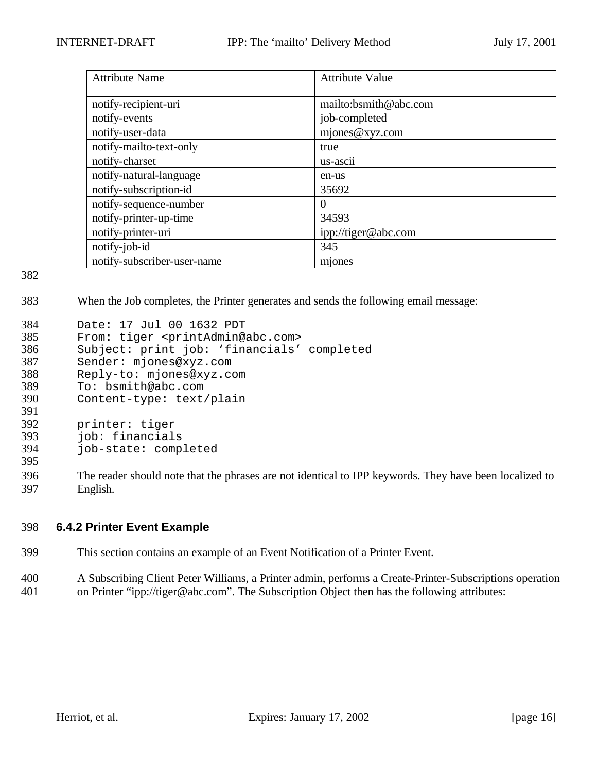| <b>Attribute Name</b>       | <b>Attribute Value</b> |
|-----------------------------|------------------------|
|                             |                        |
| notify-recipient-uri        | mailto:bsmith@abc.com  |
| notify-events               | job-completed          |
| notify-user-data            | mjones@xyz.com         |
| notify-mailto-text-only     | true                   |
| notify-charset              | us-ascii               |
| notify-natural-language     | en-us                  |
| notify-subscription-id      | 35692                  |
| notify-sequence-number      | $\theta$               |
| notify-printer-up-time      | 34593                  |
| notify-printer-uri          | ipp://tiger@abc.com    |
| notify-job-id               | 345                    |
| notify-subscriber-user-name | mjones                 |

383 When the Job completes, the Printer generates and sends the following email message:

| 384           | Date: 17 Jul 00 1632 PDT                                            |
|---------------|---------------------------------------------------------------------|
| 385           | From: tiger <printadmin@abc.com></printadmin@abc.com>               |
| 386           | Subject: print job: 'financials' completed                          |
| 387           | Sender: mjones@xyz.com                                              |
| 388           | Reply-to: mjones@xyz.com                                            |
| 389           | To: bsmith@abc.com                                                  |
| 390           | Content-type: text/plain                                            |
| 391           |                                                                     |
| 392           | printer: tiger                                                      |
| 393           | job: financials                                                     |
| 394           | job-state: completed                                                |
| 395           |                                                                     |
| 20 $\epsilon$ | The reader should note that the phrases are not identical to IDD Is |

396 The reader should note that the phrases are not identical to IPP keywords. They have been localized to 397 English.

### 398 **6.4.2 Printer Event Example**

- 399 This section contains an example of an Event Notification of a Printer Event.
- 400 A Subscribing Client Peter Williams, a Printer admin, performs a Create-Printer-Subscriptions operation 401 on Printer "ipp://tiger@abc.com". The Subscription Object then has the following attributes: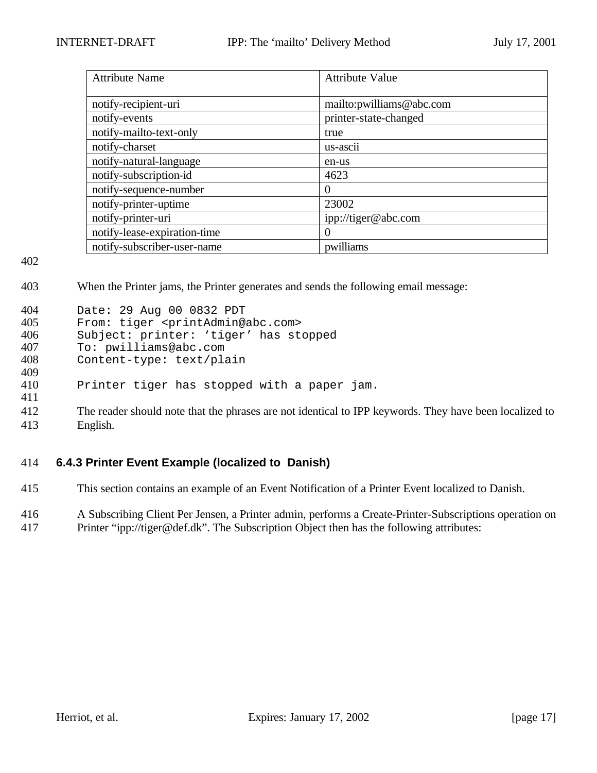| <b>Attribute Name</b>        | <b>Attribute Value</b>    |
|------------------------------|---------------------------|
|                              |                           |
| notify-recipient-uri         | mailto: pwilliams@abc.com |
| notify-events                | printer-state-changed     |
| notify-mailto-text-only      | true                      |
| notify-charset               | us-ascii                  |
| notify-natural-language      | en-us                     |
| notify-subscription-id       | 4623                      |
| notify-sequence-number       | $\Omega$                  |
| notify-printer-uptime        | 23002                     |
| notify-printer-uri           | ipp://tiger@abc.com       |
| notify-lease-expiration-time | $\Omega$                  |
| notify-subscriber-user-name  | pwilliams                 |

403 When the Printer jams, the Printer generates and sends the following email message:

| 404 | Date: 29 Aug 00 0832 PDT                              |
|-----|-------------------------------------------------------|
| 405 | From: tiger <printadmin@abc.com></printadmin@abc.com> |
| 406 | Subject: printer: 'tiger' has stopped                 |
| 407 | To: pwilliams@abc.com                                 |
| 408 | Content-type: text/plain                              |
| 409 |                                                       |
| 410 | Printer tiger has stopped with a paper jam.           |
| 411 |                                                       |

412 The reader should note that the phrases are not identical to IPP keywords. They have been localized to 413 English.

# 414 **6.4.3 Printer Event Example (localized to Danish)**

415 This section contains an example of an Event Notification of a Printer Event localized to Danish.

416 A Subscribing Client Per Jensen, a Printer admin, performs a Create-Printer-Subscriptions operation on 417 Printer "ipp://tiger@def.dk". The Subscription Object then has the following attributes: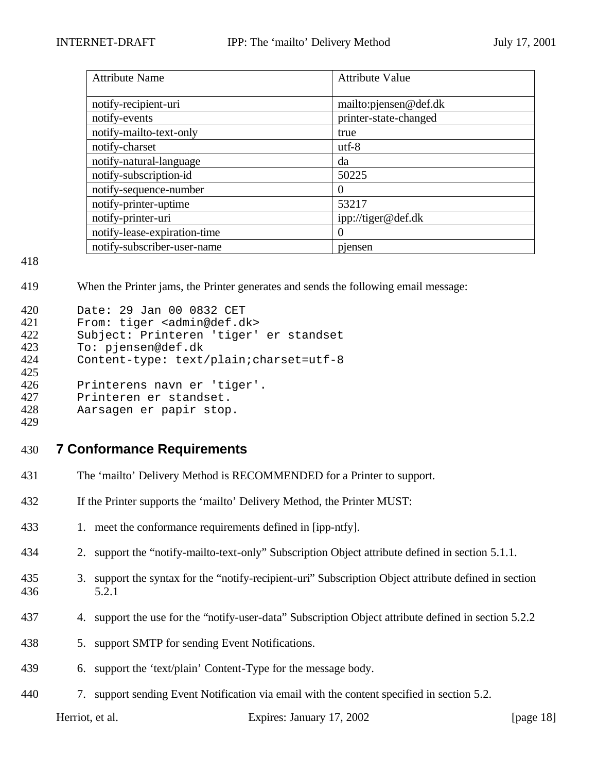| <b>Attribute Name</b>        | <b>Attribute Value</b> |
|------------------------------|------------------------|
| notify-recipient-uri         | mailto: pjensen@def.dk |
| notify-events                | printer-state-changed  |
| notify-mailto-text-only      | true                   |
| notify-charset               | $utf-8$                |
| notify-natural-language      | da                     |
| notify-subscription-id       | 50225                  |
| notify-sequence-number       | $\theta$               |
| notify-printer-uptime        | 53217                  |
| notify-printer-uri           | ipp://tiger@def.dk     |
| notify-lease-expiration-time | $\theta$               |
| notify-subscriber-user-name  | pjensen                |

When the Printer jams, the Printer generates and sends the following email message:

| 420<br>421 | Date: 29 Jan 00 0832 CET<br>From: tiger <admin@def.dk></admin@def.dk> |
|------------|-----------------------------------------------------------------------|
| 422        | Subject: Printeren 'tiger' er standset                                |
| 423        | To: pjensen@def.dk                                                    |
| 424        | Content-type: text/plain; charset=utf-8                               |
| 425        |                                                                       |
| 426        | Printerens navn er 'tiger'.                                           |
| 427        | Printeren er standset.                                                |
| 428        | Aarsagen er papir stop.                                               |
| 429        |                                                                       |

- **7 Conformance Requirements**
- The 'mailto' Delivery Method is RECOMMENDED for a Printer to support.
- If the Printer supports the 'mailto' Delivery Method, the Printer MUST:
- 1. meet the conformance requirements defined in [ipp-ntfy].
- 2. support the "notify-mailto-text-only" Subscription Object attribute defined in section 5.1.1.
- 3. support the syntax for the "notify-recipient-uri" Subscription Object attribute defined in section 5.2.1
- 4. support the use for the "notify-user-data" Subscription Object attribute defined in section 5.2.2
- 5. support SMTP for sending Event Notifications.
- 6. support the 'text/plain' Content-Type for the message body.
- 7. support sending Event Notification via email with the content specified in section 5.2.

Herriot, et al. Expires: January 17, 2002 [page 18]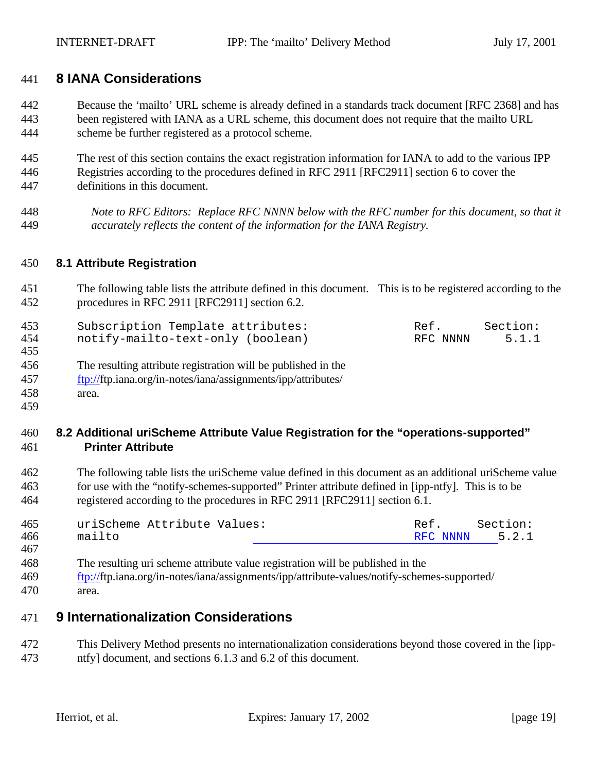# **8 IANA Considerations**

 Because the 'mailto' URL scheme is already defined in a standards track document [RFC 2368] and has been registered with IANA as a URL scheme, this document does not require that the mailto URL scheme be further registered as a protocol scheme.

 The rest of this section contains the exact registration information for IANA to add to the various IPP Registries according to the procedures defined in RFC 2911 [RFC2911] section 6 to cover the definitions in this document.

 *Note to RFC Editors: Replace RFC NNNN below with the RFC number for this document, so that it accurately reflects the content of the information for the IANA Registry.*

### **8.1 Attribute Registration**

 The following table lists the attribute defined in this document. This is to be registered according to the procedures in RFC 2911 [RFC2911] section 6.2.

| 453        | Subscription Template attributes: | Ref.     | Section: |
|------------|-----------------------------------|----------|----------|
| 454<br>455 | notify-mailto-text-only (boolean) | RFC NNNN | 5.1.1    |
|            |                                   |          |          |

- The resulting attribute registration will be published in the
- ftp://ftp.iana.org/in-notes/iana/assignments/ipp/attributes/
- area.

### **8.2 Additional uriScheme Attribute Value Registration for the "operations-supported" Printer Attribute**

 The following table lists the uriScheme value defined in this document as an additional uriScheme value for use with the "notify-schemes-supported" Printer attribute defined in [ipp-ntfy]. This is to be registered according to the procedures in RFC 2911 [RFC2911] section 6.1.

| 465 | uriScheme Attribute Values: | Ref.           | Section: |
|-----|-----------------------------|----------------|----------|
| 466 | mailto                      | RFC NNNN 5.2.1 |          |
| 467 |                             |                |          |

- The resulting uri scheme attribute value registration will be published in the
- ftp://ftp.iana.org/in-notes/iana/assignments/ipp/attribute-values/notify-schemes-supported/
- area.

# **9 Internationalization Considerations**

 This Delivery Method presents no internationalization considerations beyond those covered in the [ipp-ntfy] document, and sections 6.1.3 and 6.2 of this document.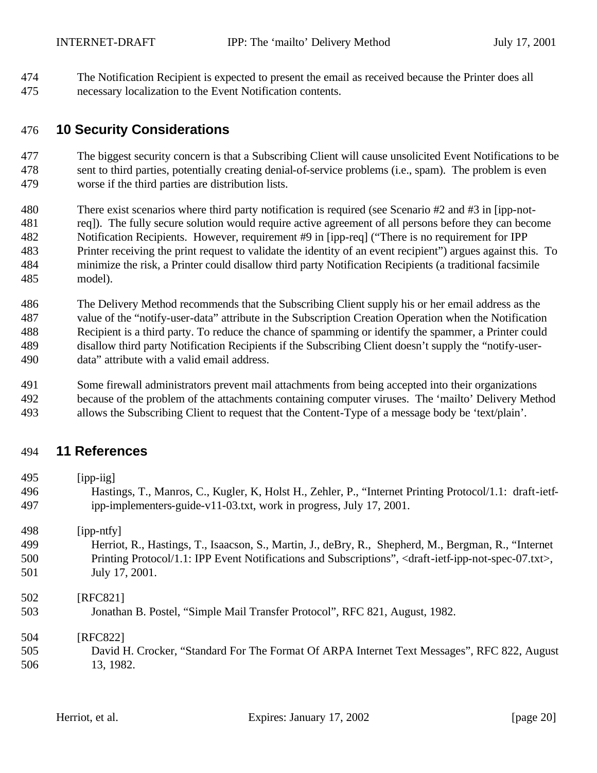The Notification Recipient is expected to present the email as received because the Printer does all necessary localization to the Event Notification contents.

# **10 Security Considerations**

 The biggest security concern is that a Subscribing Client will cause unsolicited Event Notifications to be sent to third parties, potentially creating denial-of-service problems (i.e., spam). The problem is even worse if the third parties are distribution lists.

- There exist scenarios where third party notification is required (see Scenario #2 and #3 in [ipp-not- req]). The fully secure solution would require active agreement of all persons before they can become Notification Recipients. However, requirement #9 in [ipp-req] ("There is no requirement for IPP Printer receiving the print request to validate the identity of an event recipient") argues against this. To minimize the risk, a Printer could disallow third party Notification Recipients (a traditional facsimile model).
- The Delivery Method recommends that the Subscribing Client supply his or her email address as the value of the "notify-user-data" attribute in the Subscription Creation Operation when the Notification Recipient is a third party. To reduce the chance of spamming or identify the spammer, a Printer could disallow third party Notification Recipients if the Subscribing Client doesn't supply the "notify-user-data" attribute with a valid email address.

 Some firewall administrators prevent mail attachments from being accepted into their organizations because of the problem of the attachments containing computer viruses. The 'mailto' Delivery Method

allows the Subscribing Client to request that the Content-Type of a message body be 'text/plain'.

# **11 References**

| 495 | $[$ ipp-iig $]$                                                                                                                       |
|-----|---------------------------------------------------------------------------------------------------------------------------------------|
| 496 | Hastings, T., Manros, C., Kugler, K., Holst H., Zehler, P., "Internet Printing Protocol/1.1: draft-ietf-                              |
| 497 | ipp-implementers-guide-v11-03.txt, work in progress, July 17, 2001.                                                                   |
| 498 | $[$ ipp-ntfy $]$                                                                                                                      |
| 499 | Herriot, R., Hastings, T., Isaacson, S., Martin, J., deBry, R., Shepherd, M., Bergman, R., "Internet                                  |
| 500 | Printing Protocol/1.1: IPP Event Notifications and Subscriptions", <draft-ietf-ipp-not-spec-07.txt>,</draft-ietf-ipp-not-spec-07.txt> |
| 501 | July 17, 2001.                                                                                                                        |
| 502 | [RFC821]                                                                                                                              |
| 503 | Jonathan B. Postel, "Simple Mail Transfer Protocol", RFC 821, August, 1982.                                                           |
| 504 | [RFC822]                                                                                                                              |
| 505 | David H. Crocker, "Standard For The Format Of ARPA Internet Text Messages", RFC 822, August                                           |
| 506 | 13, 1982.                                                                                                                             |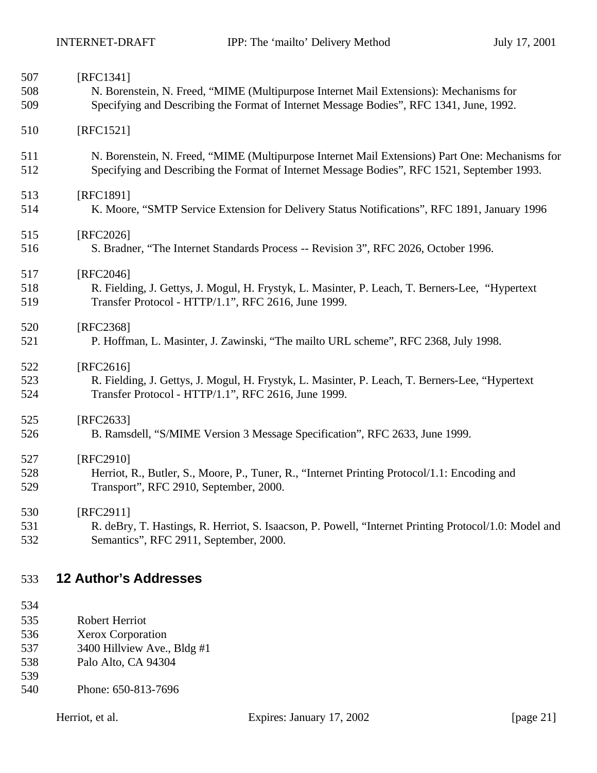| 507 | [RFC1341]                                                                                             |
|-----|-------------------------------------------------------------------------------------------------------|
| 508 | N. Borenstein, N. Freed, "MIME (Multipurpose Internet Mail Extensions): Mechanisms for                |
| 509 | Specifying and Describing the Format of Internet Message Bodies", RFC 1341, June, 1992.               |
| 510 | [RFC1521]                                                                                             |
| 511 | N. Borenstein, N. Freed, "MIME (Multipurpose Internet Mail Extensions) Part One: Mechanisms for       |
| 512 | Specifying and Describing the Format of Internet Message Bodies", RFC 1521, September 1993.           |
| 513 | [RFC1891]                                                                                             |
| 514 | K. Moore, "SMTP Service Extension for Delivery Status Notifications", RFC 1891, January 1996          |
| 515 | [RFC2026]                                                                                             |
| 516 | S. Bradner, "The Internet Standards Process -- Revision 3", RFC 2026, October 1996.                   |
| 517 | [RFC2046]                                                                                             |
| 518 | R. Fielding, J. Gettys, J. Mogul, H. Frystyk, L. Masinter, P. Leach, T. Berners-Lee, "Hypertext       |
| 519 | Transfer Protocol - HTTP/1.1", RFC 2616, June 1999.                                                   |
| 520 | [RFC2368]                                                                                             |
| 521 | P. Hoffman, L. Masinter, J. Zawinski, "The mailto URL scheme", RFC 2368, July 1998.                   |
| 522 | [RFC2616]                                                                                             |
| 523 | R. Fielding, J. Gettys, J. Mogul, H. Frystyk, L. Masinter, P. Leach, T. Berners-Lee, "Hypertext       |
| 524 | Transfer Protocol - HTTP/1.1", RFC 2616, June 1999.                                                   |
| 525 | [RFC2633]                                                                                             |
| 526 | B. Ramsdell, "S/MIME Version 3 Message Specification", RFC 2633, June 1999.                           |
| 527 | [RFC2910]                                                                                             |
| 528 | Herriot, R., Butler, S., Moore, P., Tuner, R., "Internet Printing Protocol/1.1: Encoding and          |
| 529 | Transport", RFC 2910, September, 2000.                                                                |
| 530 | [RFC2911]                                                                                             |
| 531 | R. deBry, T. Hastings, R. Herriot, S. Isaacson, P. Powell, "Internet Printing Protocol/1.0: Model and |
| 532 | Semantics", RFC 2911, September, 2000.                                                                |

# **12 Author's Addresses**

- Robert Herriot
- Xerox Corporation
- 537 3400 Hillview Ave., Bldg #1<br>538 Palo Alto, CA 94304
- Palo Alto, CA 94304
- Phone: 650-813-7696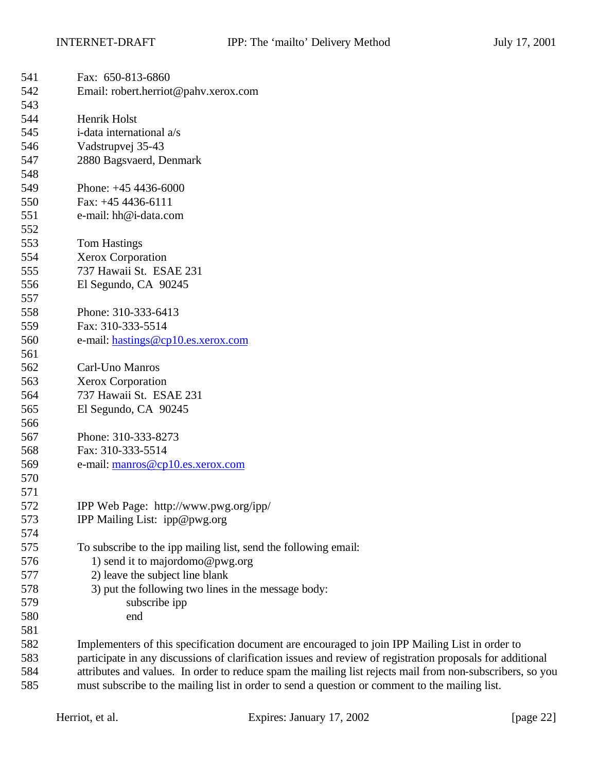| 541 | Fax: 650-813-6860                                                                                          |
|-----|------------------------------------------------------------------------------------------------------------|
| 542 | Email: robert.herriot@pahv.xerox.com                                                                       |
| 543 |                                                                                                            |
| 544 | Henrik Holst                                                                                               |
| 545 | i-data international a/s                                                                                   |
| 546 | Vadstrupvej 35-43                                                                                          |
| 547 | 2880 Bagsvaerd, Denmark                                                                                    |
| 548 |                                                                                                            |
| 549 | Phone: $+454436-6000$                                                                                      |
| 550 | Fax: $+454436-6111$                                                                                        |
| 551 | e-mail: hh@i-data.com                                                                                      |
| 552 |                                                                                                            |
| 553 | <b>Tom Hastings</b>                                                                                        |
| 554 | <b>Xerox Corporation</b>                                                                                   |
| 555 | 737 Hawaii St. ESAE 231                                                                                    |
| 556 | El Segundo, CA 90245                                                                                       |
| 557 |                                                                                                            |
| 558 | Phone: 310-333-6413                                                                                        |
| 559 | Fax: 310-333-5514                                                                                          |
| 560 | e-mail: hastings@cp10.es.xerox.com                                                                         |
| 561 |                                                                                                            |
| 562 | Carl-Uno Manros                                                                                            |
| 563 | <b>Xerox Corporation</b>                                                                                   |
| 564 | 737 Hawaii St. ESAE 231                                                                                    |
| 565 | El Segundo, CA 90245                                                                                       |
| 566 |                                                                                                            |
| 567 | Phone: 310-333-8273                                                                                        |
| 568 | Fax: 310-333-5514                                                                                          |
| 569 | e-mail: manros@cp10.es.xerox.com                                                                           |
| 570 |                                                                                                            |
| 571 |                                                                                                            |
| 572 | IPP Web Page: http://www.pwg.org/ipp/                                                                      |
| 573 | IPP Mailing List: ipp@pwg.org                                                                              |
| 574 |                                                                                                            |
| 575 | To subscribe to the ipp mailing list, send the following email:                                            |
| 576 | 1) send it to majordomo@pwg.org                                                                            |
| 577 | 2) leave the subject line blank                                                                            |
| 578 | 3) put the following two lines in the message body:                                                        |
| 579 | subscribe ipp                                                                                              |
| 580 | end                                                                                                        |
| 581 |                                                                                                            |
| 582 | Implementers of this specification document are encouraged to join IPP Mailing List in order to            |
| 583 | participate in any discussions of clarification issues and review of registration proposals for additional |
| 584 | attributes and values. In order to reduce spam the mailing list rejects mail from non-subscribers, so you  |
| 585 | must subscribe to the mailing list in order to send a question or comment to the mailing list.             |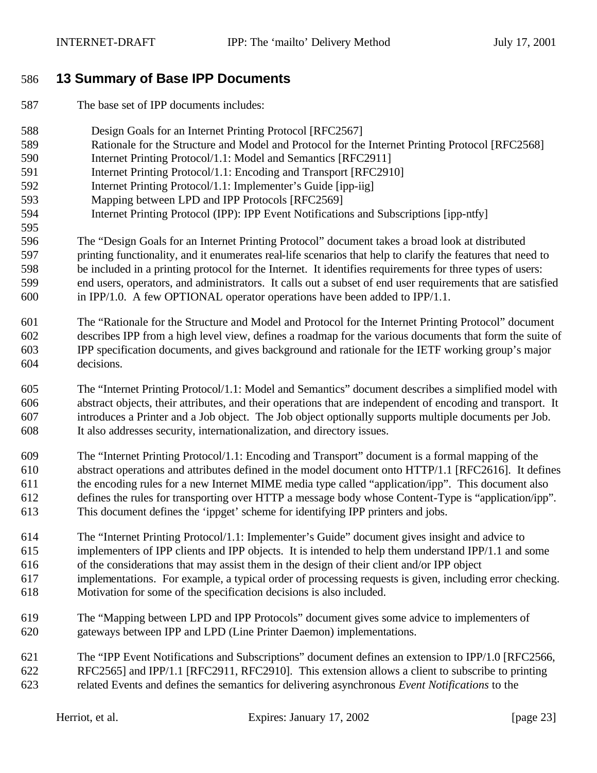# **13 Summary of Base IPP Documents**

- The base set of IPP documents includes:
- Design Goals for an Internet Printing Protocol [RFC2567]
- Rationale for the Structure and Model and Protocol for the Internet Printing Protocol [RFC2568]
- Internet Printing Protocol/1.1: Model and Semantics [RFC2911]
- Internet Printing Protocol/1.1: Encoding and Transport [RFC2910]
- Internet Printing Protocol/1.1: Implementer's Guide [ipp-iig]
- Mapping between LPD and IPP Protocols [RFC2569]
- Internet Printing Protocol (IPP): IPP Event Notifications and Subscriptions [ipp-ntfy]
- The "Design Goals for an Internet Printing Protocol" document takes a broad look at distributed printing functionality, and it enumerates real-life scenarios that help to clarify the features that need to be included in a printing protocol for the Internet. It identifies requirements for three types of users: end users, operators, and administrators. It calls out a subset of end user requirements that are satisfied in IPP/1.0. A few OPTIONAL operator operations have been added to IPP/1.1.
- The "Rationale for the Structure and Model and Protocol for the Internet Printing Protocol" document describes IPP from a high level view, defines a roadmap for the various documents that form the suite of IPP specification documents, and gives background and rationale for the IETF working group's major decisions.
- The "Internet Printing Protocol/1.1: Model and Semantics" document describes a simplified model with abstract objects, their attributes, and their operations that are independent of encoding and transport. It introduces a Printer and a Job object. The Job object optionally supports multiple documents per Job. It also addresses security, internationalization, and directory issues.
- The "Internet Printing Protocol/1.1: Encoding and Transport" document is a formal mapping of the abstract operations and attributes defined in the model document onto HTTP/1.1 [RFC2616]. It defines the encoding rules for a new Internet MIME media type called "application/ipp". This document also defines the rules for transporting over HTTP a message body whose Content-Type is "application/ipp". This document defines the 'ippget' scheme for identifying IPP printers and jobs.
- The "Internet Printing Protocol/1.1: Implementer's Guide" document gives insight and advice to implementers of IPP clients and IPP objects. It is intended to help them understand IPP/1.1 and some
- of the considerations that may assist them in the design of their client and/or IPP object
- implementations. For example, a typical order of processing requests is given, including error checking.
- Motivation for some of the specification decisions is also included.
- The "Mapping between LPD and IPP Protocols" document gives some advice to implementers of gateways between IPP and LPD (Line Printer Daemon) implementations.
- The "IPP Event Notifications and Subscriptions" document defines an extension to IPP/1.0 [RFC2566, RFC2565] and IPP/1.1 [RFC2911, RFC2910]. This extension allows a client to subscribe to printing
- related Events and defines the semantics for delivering asynchronous *Event Notifications* to the